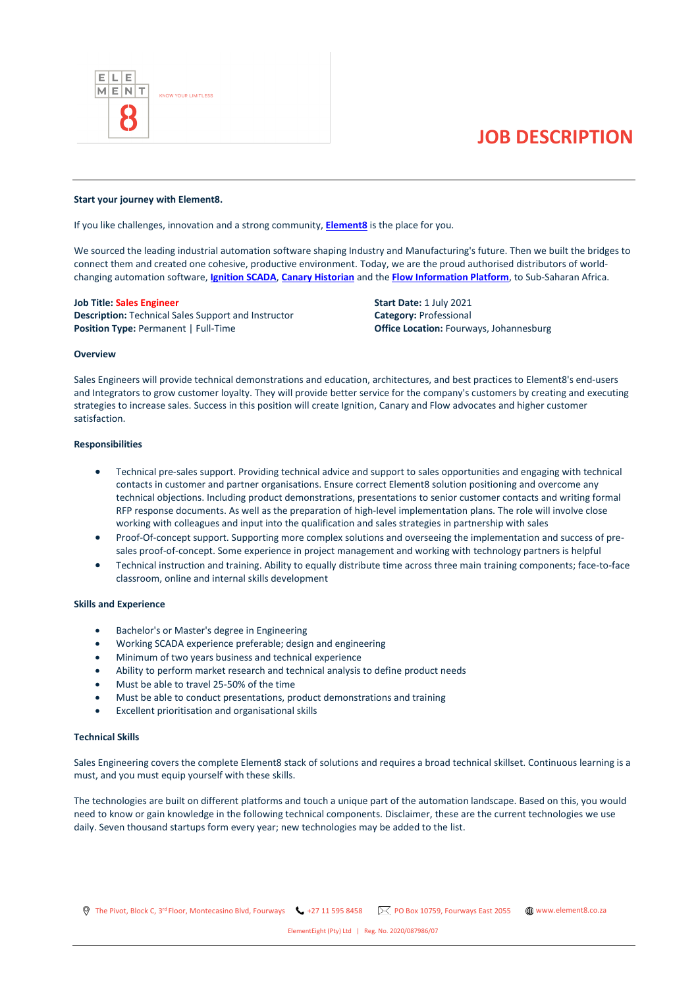

# **JOB DESCRIPTION**

#### **Start your journey with Element8.**

If you like challenges, innovation and a strong community, **[Element8](https://element8.co.za/)** is the place for you.

We sourced the leading industrial automation software shaping Industry and Manufacturing's future. Then we built the bridges to connect them and created one cohesive, productive environment. Today, we are the proud authorised distributors of worldchanging automation software, **[Ignition SCADA](https://inductiveautomation.com/)**, **[Canary Historian](https://www.canarylabs.com/)** and the **[Flow Information Platform](https://www.flow-software.com/)**, to Sub-Saharan Africa.

## **Job Title: Sales Engineer**

**Description:** Technical Sales Support and Instructor **Position Type:** Permanent | Full-Time

**Start Date:** 1 July 2021 **Category:** Professional **Office Location:** Fourways, Johannesburg

#### **Overview**

Sales Engineers will provide technical demonstrations and education, architectures, and best practices to Element8's end-users and Integrators to grow customer loyalty. They will provide better service for the company's customers by creating and executing strategies to increase sales. Success in this position will create Ignition, Canary and Flow advocates and higher customer satisfaction.

# **Responsibilities**

- Technical pre-sales support. Providing technical advice and support to sales opportunities and engaging with technical contacts in customer and partner organisations. Ensure correct Element8 solution positioning and overcome any technical objections. Including product demonstrations, presentations to senior customer contacts and writing formal RFP response documents. As well as the preparation of high-level implementation plans. The role will involve close working with colleagues and input into the qualification and sales strategies in partnership with sales
- Proof-Of-concept support. Supporting more complex solutions and overseeing the implementation and success of presales proof-of-concept. Some experience in project management and working with technology partners is helpful
- Technical instruction and training. Ability to equally distribute time across three main training components; face-to-face classroom, online and internal skills development

#### **Skills and Experience**

- Bachelor's or Master's degree in Engineering
- Working SCADA experience preferable; design and engineering
- Minimum of two years business and technical experience
- Ability to perform market research and technical analysis to define product needs
- Must be able to travel 25-50% of the time
- Must be able to conduct presentations, product demonstrations and training
- Excellent prioritisation and organisational skills

#### **Technical Skills**

Sales Engineering covers the complete Element8 stack of solutions and requires a broad technical skillset. Continuous learning is a must, and you must equip yourself with these skills.

The technologies are built on different platforms and touch a unique part of the automation landscape. Based on this, you would need to know or gain knowledge in the following technical components. Disclaimer, these are the current technologies we use daily. Seven thousand startups form every year; new technologies may be added to the list.